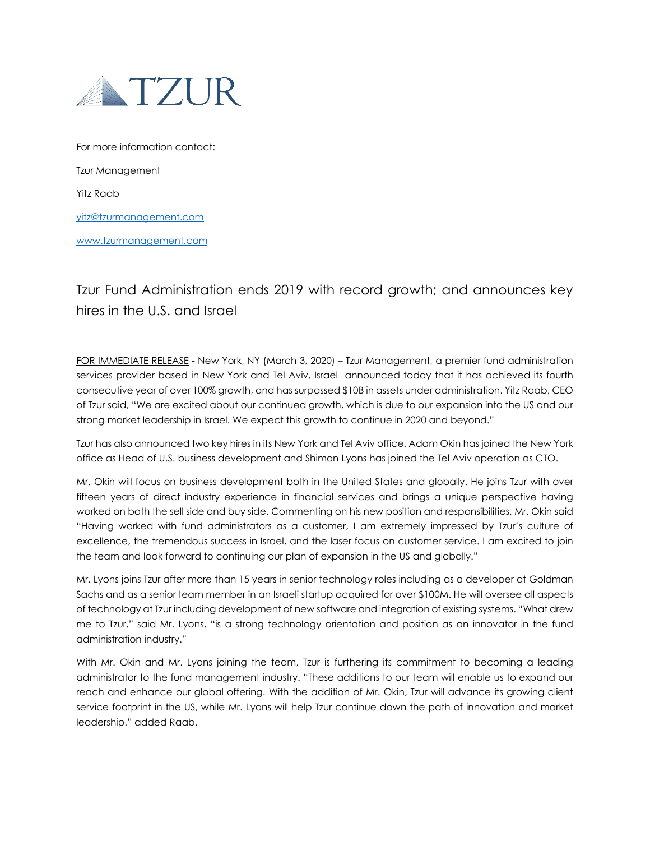

For more information contact: Tzur Management Yitz Raab [yitz@tzurmanagement.com](mailto:yitz@tzurmanagement.com) [www.tzurmanagement.com](http://www.tzurmanagement.com/)

## Tzur Fund Administration ends 2019 with record growth; and announces key hires in the U.S. and Israel

FOR IMMEDIATE RELEASE - New York, NY (March 3, 2020) - Tzur Management, a premier fund administration services provider based in New York and Tel Aviv, Israel announced today that it has achieved its fourth consecutive year of over 100% growth, and has surpassed \$10B in assets under administration. Yitz Raab, CEO of Tzur said, "We are excited about our continued growth, which is due to our expansion into the US and our strong market leadership in Israel. We expect this growth to continue in 2020 and beyond."

Tzur has also announced two key hires in its New York and Tel Aviv office. Adam Okin has joined the New York office as Head of U.S. business development and Shimon Lyons has joined the Tel Aviv operation as CTO.

Mr. Okin will focus on business development both in the United States and globally. He joins Tzur with over fifteen years of direct industry experience in financial services and brings a unique perspective having worked on both the sell side and buy side. Commenting on his new position and responsibilities, Mr. Okin said "Having worked with fund administrators as a customer, I am extremely impressed by Tzur's culture of excellence, the tremendous success in Israel, and the laser focus on customer service. I am excited to join the team and look forward to continuing our plan of expansion in the US and globally."

Mr. Lyons joins Tzur after more than 15 years in senior technology roles including as a developer at Goldman Sachs and as a senior team member in an Israeli startup acquired for over \$100M. He will oversee all aspects of technology at Tzur including development of new software and integration of existing systems. "What drew me to Tzur," said Mr. Lyons, "is a strong technology orientation and position as an innovator in the fund administration industry."

With Mr. Okin and Mr. Lyons joining the team, Tzur is furthering its commitment to becoming a leading administrator to the fund management industry. "These additions to our team will enable us to expand our reach and enhance our global offering. With the addition of Mr. Okin, Tzur will advance its growing client service footprint in the US, while Mr. Lyons will help Tzur continue down the path of innovation and market leadership." added Raab.